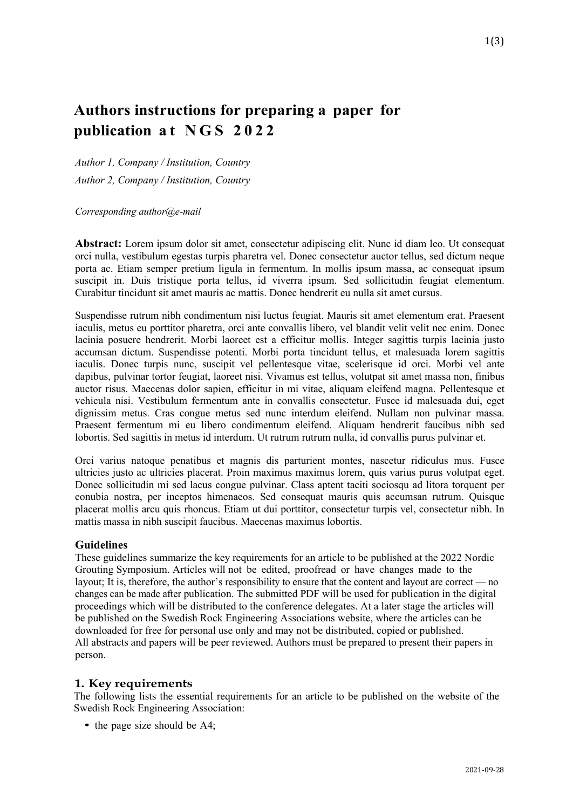# **Authors instructions for preparing a paper for publication at NGS 2022**

*Author 1, Company / Institution, Country Author 2, Company / Institution, Country*

*Corresponding author@e-mail*

**Abstract:** Lorem ipsum dolor sit amet, consectetur adipiscing elit. Nunc id diam leo. Ut consequat orci nulla, vestibulum egestas turpis pharetra vel. Donec consectetur auctor tellus, sed dictum neque porta ac. Etiam semper pretium ligula in fermentum. In mollis ipsum massa, ac consequat ipsum suscipit in. Duis tristique porta tellus, id viverra ipsum. Sed sollicitudin feugiat elementum. Curabitur tincidunt sit amet mauris ac mattis. Donec hendrerit eu nulla sit amet cursus.

Suspendisse rutrum nibh condimentum nisi luctus feugiat. Mauris sit amet elementum erat. Praesent iaculis, metus eu porttitor pharetra, orci ante convallis libero, vel blandit velit velit nec enim. Donec lacinia posuere hendrerit. Morbi laoreet est a efficitur mollis. Integer sagittis turpis lacinia justo accumsan dictum. Suspendisse potenti. Morbi porta tincidunt tellus, et malesuada lorem sagittis iaculis. Donec turpis nunc, suscipit vel pellentesque vitae, scelerisque id orci. Morbi vel ante dapibus, pulvinar tortor feugiat, laoreet nisi. Vivamus est tellus, volutpat sit amet massa non, finibus auctor risus. Maecenas dolor sapien, efficitur in mi vitae, aliquam eleifend magna. Pellentesque et vehicula nisi. Vestibulum fermentum ante in convallis consectetur. Fusce id malesuada dui, eget dignissim metus. Cras congue metus sed nunc interdum eleifend. Nullam non pulvinar massa. Praesent fermentum mi eu libero condimentum eleifend. Aliquam hendrerit faucibus nibh sed lobortis. Sed sagittis in metus id interdum. Ut rutrum rutrum nulla, id convallis purus pulvinar et.

Orci varius natoque penatibus et magnis dis parturient montes, nascetur ridiculus mus. Fusce ultricies justo ac ultricies placerat. Proin maximus maximus lorem, quis varius purus volutpat eget. Donec sollicitudin mi sed lacus congue pulvinar. Class aptent taciti sociosqu ad litora torquent per conubia nostra, per inceptos himenaeos. Sed consequat mauris quis accumsan rutrum. Quisque placerat mollis arcu quis rhoncus. Etiam ut dui porttitor, consectetur turpis vel, consectetur nibh. In mattis massa in nibh suscipit faucibus. Maecenas maximus lobortis.

#### **Guidelines**

These guidelines summarize the key requirements for an article to be published at the 2022 Nordic Grouting Symposium. Articles will not be edited, proofread or have changes made to the layout; It is, therefore, the author's responsibility to ensure that the content and layout are correct — no changes can be made after publication. The submitted PDF will be used for publication in the digital proceedings which will be distributed to the conference delegates. At a later stage the articles will be published on the Swedish Rock Engineering Associations website, where the articles can be downloaded for free for personal use only and may not be distributed, copied or published. All abstracts and papers will be peer reviewed. Authors must be prepared to present their papers in person.

#### **1. Key requirements**

The following lists the essential requirements for an article to be published on the website of the Swedish Rock Engineering Association:

• the page size should be A4;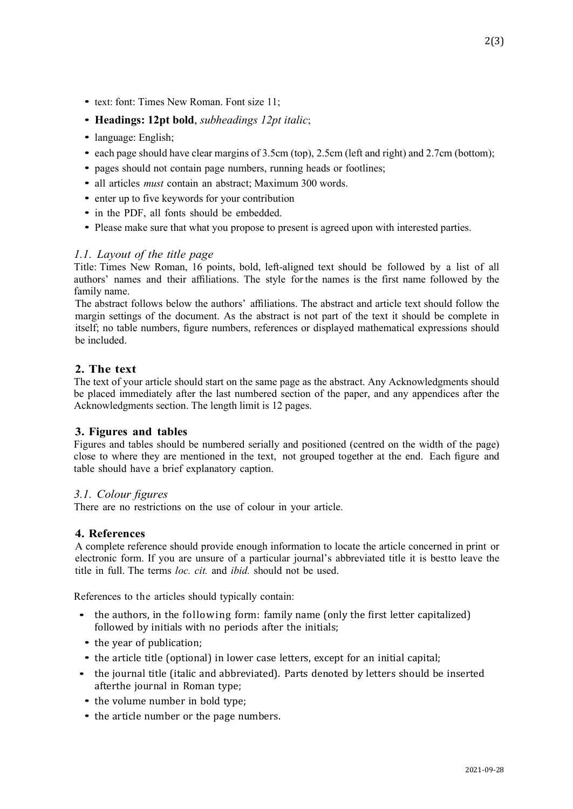- *•* text: font: Times New Roman. Font size 11;
- *•* **Headings: 12pt bold**, *subheadings 12pt italic*;
- *•* language: English;
- each page should have clear margins of 3.5cm (top), 2.5cm (left and right) and 2.7cm (bottom);
- *•* pages should not contain page numbers, running heads or footlines;
- *•* all articles *must* contain an abstract; Maximum 300 words.
- enter up to five keywords for your contribution
- *•* in the PDF, all fonts should be embedded.
- Please make sure that what you propose to present is agreed upon with interested parties.

## *1.1. Layout of the title page*

Title: Times New Roman, 16 points, bold, left-aligned text should be followed by a list of all authors' names and their affiliations. The style for the names is the first name followed by the family name.

The abstract follows below the authors' affiliations. The abstract and article text should follow the margin settings of the document. As the abstract is not part of the text it should be complete in itself; no table numbers, figure numbers, references or displayed mathematical expressions should be included.

# **2. The text**

The text of your article should start on the same page as the abstract. Any Acknowledgments should be placed immediately after the last numbered section of the paper, and any appendices after the Acknowledgments section. The length limit is 12 pages.

#### **3. Figures and tables**

Figures and tables should be numbered serially and positioned (centred on the width of the page) close to where they are mentioned in the text, not grouped together at the end. Each figure and table should have a brief explanatory caption.

#### *3.1. Colour figures*

There are no restrictions on the use of colour in your article.

#### **4. References**

A complete reference should provide enough information to locate the article concerned in print or electronic form. If you are unsure of a particular journal's abbreviated title it is bestto leave the title in full. The terms *loc. cit.* and *ibid.* should not be used.

References to the articles should typically contain:

- the authors, in the following form: family name (only the first letter capitalized) followed by initials with no periods after the initials;
- *•* the year of publication;
- *•* the article title (optional) in lower case letters, except for an initial capital;
- the journal title (italic and abbreviated). Parts denoted by letters should be inserted afterthe journal in Roman type;
- the volume number in bold type;
- the article number or the page numbers.